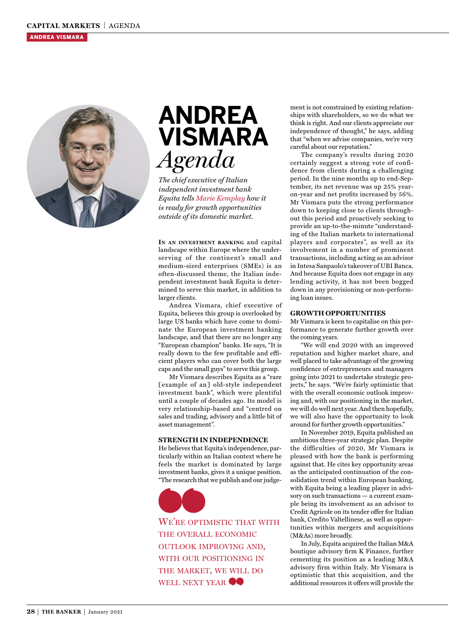

# **ANDREA VISMARA** *Agenda*

*The chief executive of Italian independent investment bank Equita tells Marie Kemplay how it is ready for growth opportunities outside of its domestic market.*

**I<sup>N</sup> AN INVESTMENT BANKING** and capital landscape within Europe where the underserving of the continent's small and medium-sized enterprises (SMEs) is an often-discussed theme, the Italian independent investment bank Equita is determined to serve this market, in addition to larger clients.

Andrea Vismara, chief executive of Equita, believes this group is overlooked by large US banks which have come to dominate the European investment banking landscape, and that there are no longer any "European champion" banks. He says, "It is really down to the few profitable and efficient players who can cover both the large caps and the small guys" to serve this group.

Mr Vismara describes Equita as a "rare [example of an] old-style independent investment bank", which were plentiful until a couple of decades ago. Its model is very relationship-based and "centred on sales and trading, advisory and a little bit of asset management".

#### **STRENGTH IN INDEPENDENCE**

He believes that Equita's independence, particularly within an Italian context where he feels the market is dominated by large investment banks, gives it a unique position. "The research that we publish and our judge-



WE'RE OPTIMISTIC THAT WITH THE OVERALL ECONOMIC OUTLOOK IMPROVING AND, WITH OUR POSITIONING IN THE MARKET, WE WILL DO WELL NEXT YEAR  $\bullet$ 

ment is not constrained by existing relationships with shareholders, so we do what we think is right. And our clients appreciate our independence of thought," he says, adding that "when we advise companies, we're very careful about our reputation."

The company's results during 2020 certainly suggest a strong vote of confidence from clients during a challenging period. In the nine months up to end-September, its net revenue was up 25% yearon-year and net profits increased by 56%. Mr Vismara puts the strong performance down to keeping close to clients throughout this period and proactively seeking to provide an up-to-the-minute "understanding of the Italian markets to international players and corporates", as well as its involvement in a number of prominent transactions, including acting as an advisor in Intesa Sanpaolo's takeover of UBI Banca. And because Equita does not engage in any lending activity, it has not been bogged down in any provisioning or non-performing loan issues.

### **GROWTH OPPORTUNITIES**

Mr Vismara is keen to capitalise on this performance to generate further growth over the coming years.

"We will end 2020 with an improved reputation and higher market share, and well placed to take advantage of the growing confidence of entrepreneurs and managers going into 2021 to undertake strategic projects," he says. "We're fairly optimistic that with the overall economic outlook improving and, with our positioning in the market, we will do well next year. And then hopefully, we will also have the opportunity to look around for further growth opportunities."

In November 2019, Equita published an ambitious three-year strategic plan. Despite the difficulties of 2020, Mr Vismara is pleased with how the bank is performing against that. He cites key opportunity areas as the anticipated continuation of the consolidation trend within European banking, with Equita being a leading player in advisory on such transactions — a current example being its involvement as an advisor to Credit Agricole on its tender offer for Italian bank, Credito Valtellinese, as well as opportunities within mergers and acquisitions (M&As) more broadly.

In July, Equita acquired the Italian M&A boutique advisory firm K Finance, further cementing its position as a leading M&A advisory firm within Italy. Mr Vismara is optimistic that this acquisition, and the additional resources it offers will provide the